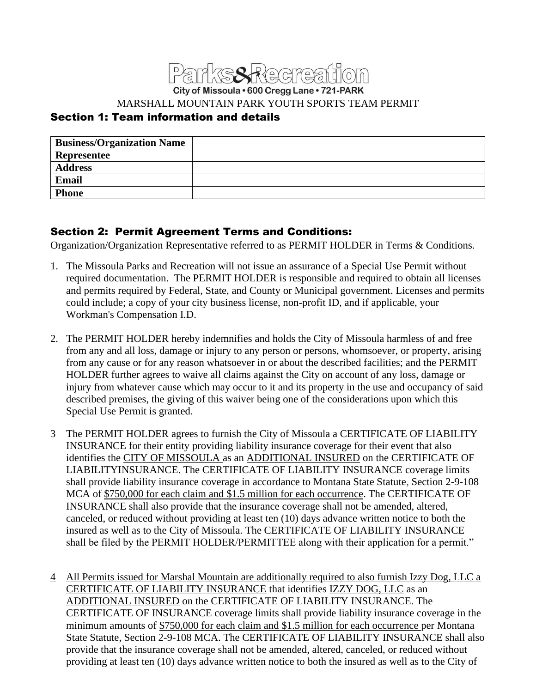

City of Missoula . 600 Cregg Lane . 721-PARK

MARSHALL MOUNTAIN PARK YOUTH SPORTS TEAM PERMIT

# Section 1: Team information and details

| <b>Business/Organization Name</b> |  |
|-----------------------------------|--|
| <b>Representee</b>                |  |
| <b>Address</b>                    |  |
| <b>Email</b>                      |  |
| <b>Phone</b>                      |  |

#### Section 2: Permit Agreement Terms and Conditions:

Organization/Organization Representative referred to as PERMIT HOLDER in Terms & Conditions.

- 1. The Missoula Parks and Recreation will not issue an assurance of a Special Use Permit without required documentation. The PERMIT HOLDER is responsible and required to obtain all licenses and permits required by Federal, State, and County or Municipal government. Licenses and permits could include; a copy of your city business license, non-profit ID, and if applicable, your Workman's Compensation I.D.
- 2. The PERMIT HOLDER hereby indemnifies and holds the City of Missoula harmless of and free from any and all loss, damage or injury to any person or persons, whomsoever, or property, arising from any cause or for any reason whatsoever in or about the described facilities; and the PERMIT HOLDER further agrees to waive all claims against the City on account of any loss, damage or injury from whatever cause which may occur to it and its property in the use and occupancy of said described premises, the giving of this waiver being one of the considerations upon which this Special Use Permit is granted.
- 3 The PERMIT HOLDER agrees to furnish the City of Missoula a CERTIFICATE OF LIABILITY INSURANCE for their entity providing liability insurance coverage for their event that also identifies the CITY OF MISSOULA as an ADDITIONAL INSURED on the CERTIFICATE OF LIABILITYINSURANCE. The CERTIFICATE OF LIABILITY INSURANCE coverage limits shall provide liability insurance coverage in accordance to Montana State Statute, Section 2-9-108 MCA of \$750,000 for each claim and \$1.5 million for each occurrence. The CERTIFICATE OF INSURANCE shall also provide that the insurance coverage shall not be amended, altered, canceled, or reduced without providing at least ten (10) days advance written notice to both the insured as well as to the City of Missoula. The CERTIFICATE OF LIABILITY INSURANCE shall be filed by the PERMIT HOLDER/PERMITTEE along with their application for a permit."
- 4 All Permits issued for Marshal Mountain are additionally required to also furnish Izzy Dog, LLC a CERTIFICATE OF LIABILITY INSURANCE that identifies IZZY DOG, LLC as an ADDITIONAL INSURED on the CERTIFICATE OF LIABILITY INSURANCE. The CERTIFICATE OF INSURANCE coverage limits shall provide liability insurance coverage in the minimum amounts of \$750,000 for each claim and \$1.5 million for each occurrence per Montana State Statute, Section 2-9-108 MCA. The CERTIFICATE OF LIABILITY INSURANCE shall also provide that the insurance coverage shall not be amended, altered, canceled, or reduced without providing at least ten (10) days advance written notice to both the insured as well as to the City of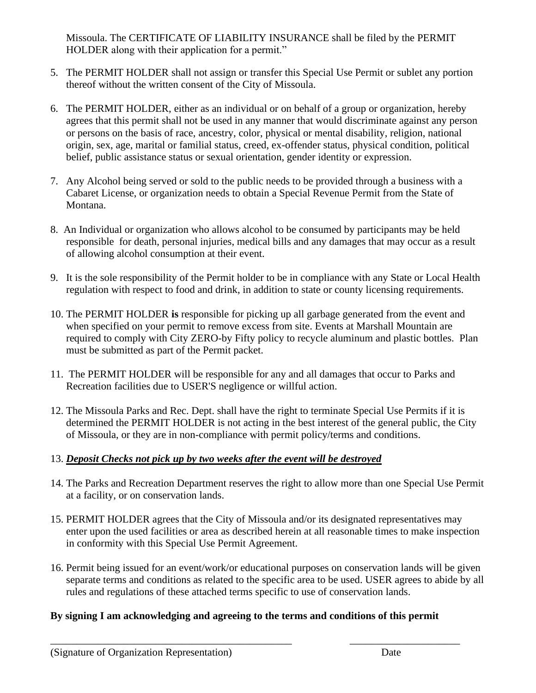Missoula. The CERTIFICATE OF LIABILITY INSURANCE shall be filed by the PERMIT HOLDER along with their application for a permit."

- 5. The PERMIT HOLDER shall not assign or transfer this Special Use Permit or sublet any portion thereof without the written consent of the City of Missoula.
- 6. The PERMIT HOLDER, either as an individual or on behalf of a group or organization, hereby agrees that this permit shall not be used in any manner that would discriminate against any person or persons on the basis of race, ancestry, color, physical or mental disability, religion, national origin, sex, age, marital or familial status, creed, ex-offender status, physical condition, political belief, public assistance status or sexual orientation, gender identity or expression.
- 7. Any Alcohol being served or sold to the public needs to be provided through a business with a Cabaret License, or organization needs to obtain a Special Revenue Permit from the State of Montana.
- 8. An Individual or organization who allows alcohol to be consumed by participants may be held responsible for death, personal injuries, medical bills and any damages that may occur as a result of allowing alcohol consumption at their event.
- 9. It is the sole responsibility of the Permit holder to be in compliance with any State or Local Health regulation with respect to food and drink, in addition to state or county licensing requirements.
- 10. The PERMIT HOLDER **is** responsible for picking up all garbage generated from the event and when specified on your permit to remove excess from site. Events at Marshall Mountain are required to comply with City ZERO-by Fifty policy to recycle aluminum and plastic bottles. Plan must be submitted as part of the Permit packet.
- 11. The PERMIT HOLDER will be responsible for any and all damages that occur to Parks and Recreation facilities due to USER'S negligence or willful action.
- 12. The Missoula Parks and Rec. Dept. shall have the right to terminate Special Use Permits if it is determined the PERMIT HOLDER is not acting in the best interest of the general public, the City of Missoula, or they are in non-compliance with permit policy/terms and conditions.

#### 13. *Deposit Checks not pick up by two weeks after the event will be destroyed*

- 14. The Parks and Recreation Department reserves the right to allow more than one Special Use Permit at a facility, or on conservation lands.
- 15. PERMIT HOLDER agrees that the City of Missoula and/or its designated representatives may enter upon the used facilities or area as described herein at all reasonable times to make inspection in conformity with this Special Use Permit Agreement.
- 16. Permit being issued for an event/work/or educational purposes on conservation lands will be given separate terms and conditions as related to the specific area to be used. USER agrees to abide by all rules and regulations of these attached terms specific to use of conservation lands.

# **By signing I am acknowledging and agreeing to the terms and conditions of this permit**

\_\_\_\_\_\_\_\_\_\_\_\_\_\_\_\_\_\_\_\_\_\_\_\_\_\_\_\_\_\_\_\_\_\_\_\_\_\_\_\_\_\_\_\_\_\_ \_\_\_\_\_\_\_\_\_\_\_\_\_\_\_\_\_\_\_\_\_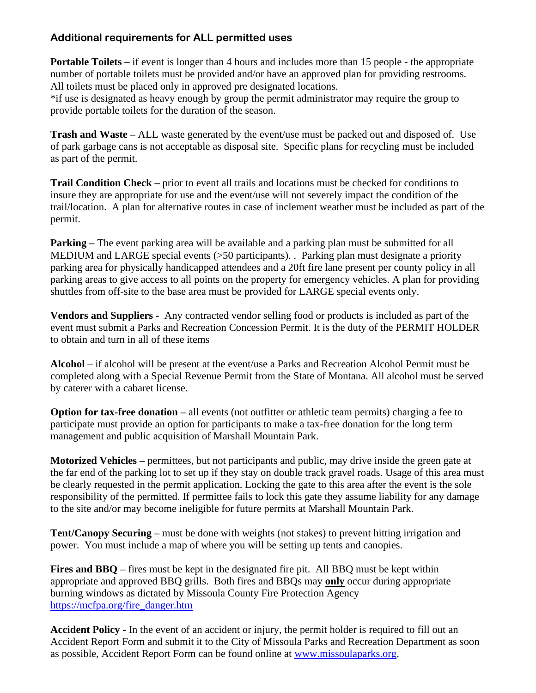## **Additional requirements for ALL permitted uses**

**Portable Toilets** – if event is longer than 4 hours and includes more than 15 people - the appropriate number of portable toilets must be provided and/or have an approved plan for providing restrooms. All toilets must be placed only in approved pre designated locations.

\*if use is designated as heavy enough by group the permit administrator may require the group to provide portable toilets for the duration of the season.

**Trash and Waste –** ALL waste generated by the event/use must be packed out and disposed of. Use of park garbage cans is not acceptable as disposal site. Specific plans for recycling must be included as part of the permit.

**Trail Condition Check –** prior to event all trails and locations must be checked for conditions to insure they are appropriate for use and the event/use will not severely impact the condition of the trail/location. A plan for alternative routes in case of inclement weather must be included as part of the permit.

**Parking** – The event parking area will be available and a parking plan must be submitted for all MEDIUM and LARGE special events (>50 participants). . Parking plan must designate a priority parking area for physically handicapped attendees and a 20ft fire lane present per county policy in all parking areas to give access to all points on the property for emergency vehicles. A plan for providing shuttles from off-site to the base area must be provided for LARGE special events only.

**Vendors and Suppliers -** Any contracted vendor selling food or products is included as part of the event must submit a Parks and Recreation Concession Permit. It is the duty of the PERMIT HOLDER to obtain and turn in all of these items

**Alcohol** – if alcohol will be present at the event/use a Parks and Recreation Alcohol Permit must be completed along with a Special Revenue Permit from the State of Montana. All alcohol must be served by caterer with a cabaret license.

**Option for tax-free donation** – all events (not outfitter or athletic team permits) charging a fee to participate must provide an option for participants to make a tax-free donation for the long term management and public acquisition of Marshall Mountain Park.

**Motorized Vehicles –** permittees, but not participants and public, may drive inside the green gate at the far end of the parking lot to set up if they stay on double track gravel roads. Usage of this area must be clearly requested in the permit application. Locking the gate to this area after the event is the sole responsibility of the permitted. If permittee fails to lock this gate they assume liability for any damage to the site and/or may become ineligible for future permits at Marshall Mountain Park.

**Tent/Canopy Securing –** must be done with weights (not stakes) to prevent hitting irrigation and power. You must include a map of where you will be setting up tents and canopies.

**Fires and BBQ –** fires must be kept in the designated fire pit. All BBQ must be kept within appropriate and approved BBQ grills. Both fires and BBQs may **only** occur during appropriate burning windows as dictated by Missoula County Fire Protection Agency [https://mcfpa.org/fire\\_danger.htm](https://mcfpa.org/fire_danger.htm)

**Accident Policy -** In the event of an accident or injury, the permit holder is required to fill out an Accident Report Form and submit it to the City of Missoula Parks and Recreation Department as soon as possible, Accident Report Form can be found online at [www.missoulaparks.org.](http://www.missoulaparks.org/)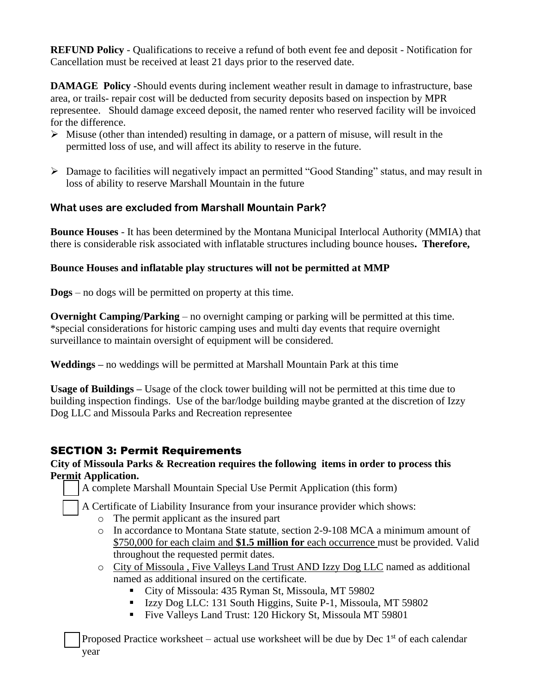**REFUND Policy** - Qualifications to receive a refund of both event fee and deposit - Notification for Cancellation must be received at least 21 days prior to the reserved date.

**DAMAGE Policy -**Should events during inclement weather result in damage to infrastructure, base area, or trails- repair cost will be deducted from security deposits based on inspection by MPR representee. Should damage exceed deposit, the named renter who reserved facility will be invoiced for the difference.

- $\triangleright$  Misuse (other than intended) resulting in damage, or a pattern of misuse, will result in the permitted loss of use, and will affect its ability to reserve in the future.
- ➢ Damage to facilities will negatively impact an permitted "Good Standing" status, and may result in loss of ability to reserve Marshall Mountain in the future

## **What uses are excluded from Marshall Mountain Park?**

**Bounce Houses** - It has been determined by the Montana Municipal Interlocal Authority (MMIA) that there is considerable risk associated with inflatable structures including bounce houses**. Therefore,** 

#### **Bounce Houses and inflatable play structures will not be permitted at MMP**

**Dogs** – no dogs will be permitted on property at this time.

**Overnight Camping/Parking** – no overnight camping or parking will be permitted at this time. \*special considerations for historic camping uses and multi day events that require overnight surveillance to maintain oversight of equipment will be considered.

**Weddings –** no weddings will be permitted at Marshall Mountain Park at this time

**Usage of Buildings –** Usage of the clock tower building will not be permitted at this time due to building inspection findings. Use of the bar/lodge building maybe granted at the discretion of Izzy Dog LLC and Missoula Parks and Recreation representee

# SECTION 3: Permit Requirements

#### **City of Missoula Parks & Recreation requires the following items in order to process this Permit Application.**

❑ A complete Marshall Mountain Special Use Permit Application (this form)

❑ A Certificate of Liability Insurance from your insurance provider which shows:

- o The permit applicant as the insured part
- o In accordance to Montana State statute, section 2-9-108 MCA a minimum amount of \$750,000 for each claim and **\$1.5 million for** each occurrence must be provided. Valid throughout the requested permit dates.
- o City of Missoula , Five Valleys Land Trust AND Izzy Dog LLC named as additional named as additional insured on the certificate.
	- City of Missoula: 435 Ryman St, Missoula, MT 59802
	- Izzy Dog LLC: 131 South Higgins, Suite P-1, Missoula, MT 59802
	- Five Valleys Land Trust: 120 Hickory St, Missoula MT 59801

Proposed Practice worksheet – actual use worksheet will be due by Dec  $1<sup>st</sup>$  of each calendar year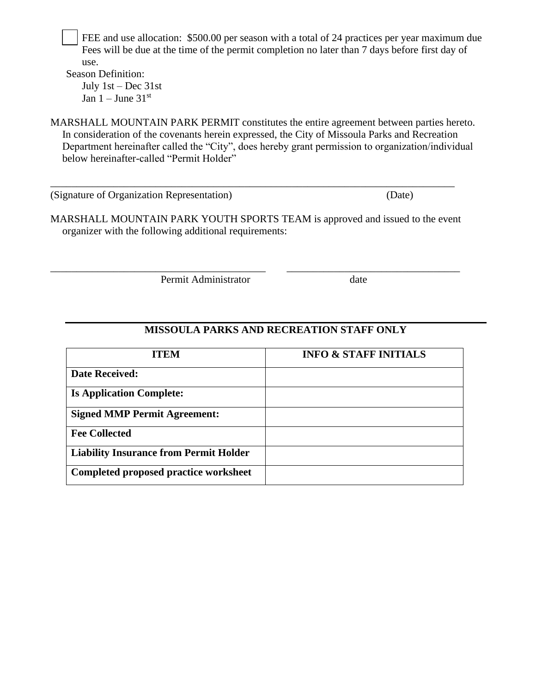FEE and use allocation: \$500.00 per season with a total of 24 practices per year maximum due Fees will be due at the time of the permit completion no later than 7 days before first day of use.

Season Definition: July 1st – Dec 31st Jan  $1 -$  June  $31<sup>st</sup>$ 

MARSHALL MOUNTAIN PARK PERMIT constitutes the entire agreement between parties hereto. In consideration of the covenants herein expressed, the City of Missoula Parks and Recreation Department hereinafter called the "City", does hereby grant permission to organization/individual below hereinafter-called "Permit Holder"

(Signature of Organization Representation) (Date)

MARSHALL MOUNTAIN PARK YOUTH SPORTS TEAM is approved and issued to the event organizer with the following additional requirements:

\_\_\_\_\_\_\_\_\_\_\_\_\_\_\_\_\_\_\_\_\_\_\_\_\_\_\_\_\_\_\_\_\_\_\_\_\_\_\_\_\_ \_\_\_\_\_\_\_\_\_\_\_\_\_\_\_\_\_\_\_\_\_\_\_\_\_\_\_\_\_\_\_\_\_

\_\_\_\_\_\_\_\_\_\_\_\_\_\_\_\_\_\_\_\_\_\_\_\_\_\_\_\_\_\_\_\_\_\_\_\_\_\_\_\_\_\_\_\_\_\_\_\_\_\_\_\_\_\_\_\_\_\_\_\_\_\_\_\_\_\_\_\_\_\_\_\_\_\_\_\_\_

Permit Administrator date

# **MISSOULA PARKS AND RECREATION STAFF ONLY**

| <b>ITEM</b>                                   | <b>INFO &amp; STAFF INITIALS</b> |
|-----------------------------------------------|----------------------------------|
| <b>Date Received:</b>                         |                                  |
| <b>Is Application Complete:</b>               |                                  |
| <b>Signed MMP Permit Agreement:</b>           |                                  |
| <b>Fee Collected</b>                          |                                  |
| <b>Liability Insurance from Permit Holder</b> |                                  |
| Completed proposed practice worksheet         |                                  |